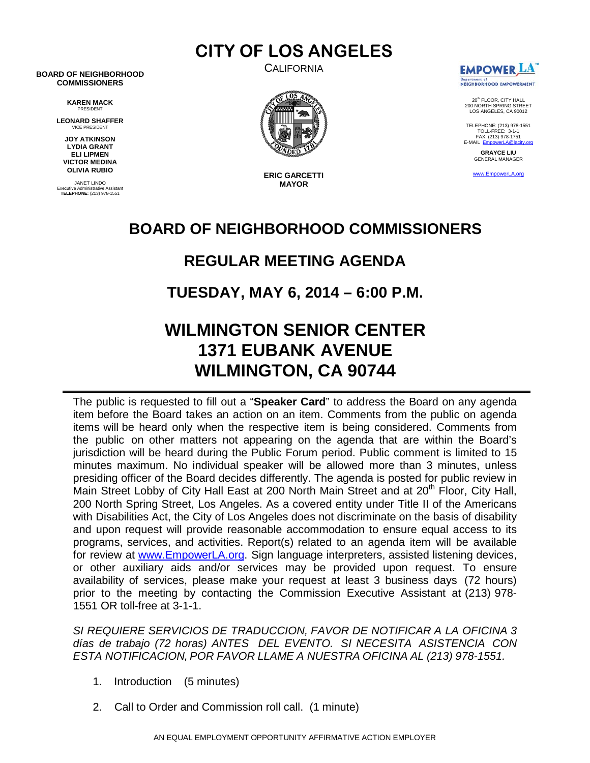**CALIFORNIA** 

**CITY OF LOS ANGELES**

**BOARD OF NEIGHBORHOOD COMMISSIONERS**

> **KAREN MACK** PRESIDENT

**LEONARD SHAFFER** VICE PRESIDENT

**JOY ATKINSON LYDIA GRANT ELI LIPMEN VICTOR MEDINA OLIVIA RUBIO**

JANET LINDO Executive Administrative Assistant **TELEPHONE:** (213) 978-1551



www.EmpowerLA.org **ERIC GARCETTI MAYOR**



20th FLOOR, CITY HALL 200 NORTH SPRING STREET LOS ANGELES, CA 90012

TELEPHONE: (213) 978-1551 TOLL-FREE: 3-1-1 FAX: (213) 978-1751  $E-MAIL$   $E$ 

> **GRAYCE LIU** GENERAL MANAGER

### **BOARD OF NEIGHBORHOOD COMMISSIONERS**

## **REGULAR MEETING AGENDA**

**TUESDAY, MAY 6, 2014 – 6:00 P.M.**

# **WILMINGTON SENIOR CENTER 1371 EUBANK AVENUE WILMINGTON, CA 90744**

The public is requested to fill out a "**Speaker Card**" to address the Board on any agenda item before the Board takes an action on an item. Comments from the public on agenda items will be heard only when the respective item is being considered. Comments from the public on other matters not appearing on the agenda that are within the Board's jurisdiction will be heard during the Public Forum period. Public comment is limited to 15 minutes maximum. No individual speaker will be allowed more than 3 minutes, unless presiding officer of the Board decides differently. The agenda is posted for public review in Main Street Lobby of City Hall East at 200 North Main Street and at 20<sup>th</sup> Floor, City Hall, 200 North Spring Street, Los Angeles. As a covered entity under Title II of the Americans with Disabilities Act, the City of Los Angeles does not discriminate on the basis of disability and upon request will provide reasonable accommodation to ensure equal access to its programs, services, and activities. Report(s) related to an agenda item will be available for review at [www.EmpowerLA.org.](http://www.empowerla.org/) Sign language interpreters, assisted listening devices, or other auxiliary aids and/or services may be provided upon request. To ensure availability of services, please make your request at least 3 business days (72 hours) prior to the meeting by contacting the Commission Executive Assistant at (213) 978- 1551 OR toll-free at 3-1-1.

*SI REQUIERE SERVICIOS DE TRADUCCION, FAVOR DE NOTIFICAR A LA OFICINA 3 días de trabajo (72 horas) ANTES DEL EVENTO. SI NECESITA ASISTENCIA CON ESTA NOTIFICACION, POR FAVOR LLAME A NUESTRA OFICINA AL (213) 978-1551.*

- 1. Introduction (5 minutes)
- 2. Call to Order and Commission roll call. (1 minute)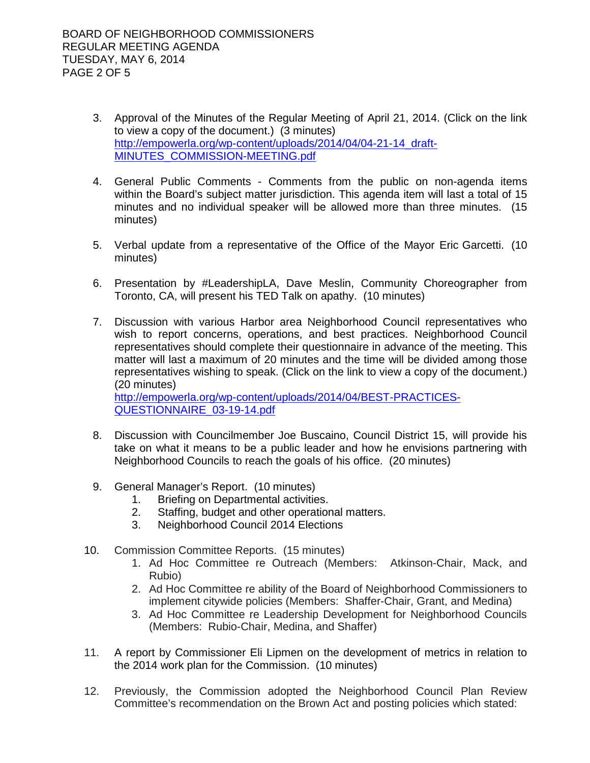- 3. Approval of the Minutes of the Regular Meeting of April 21, 2014. (Click on the link to view a copy of the document.) (3 minutes) [http://empowerla.org/wp-content/uploads/2014/04/04-21-14\\_draft-](http://empowerla.org/wp-content/uploads/2014/04/04-21-14_draft-MINUTES_COMMISSION-MEETING.pdf)[MINUTES\\_COMMISSION-MEETING.pdf](http://empowerla.org/wp-content/uploads/2014/04/04-21-14_draft-MINUTES_COMMISSION-MEETING.pdf)
- 4. General Public Comments Comments from the public on non-agenda items within the Board's subject matter jurisdiction. This agenda item will last a total of 15 minutes and no individual speaker will be allowed more than three minutes. (15 minutes)
- 5. Verbal update from a representative of the Office of the Mayor Eric Garcetti. (10 minutes)
- 6. Presentation by #LeadershipLA, Dave Meslin, Community Choreographer from Toronto, CA, will present his TED Talk on apathy. (10 minutes)
- 7. Discussion with various Harbor area Neighborhood Council representatives who wish to report concerns, operations, and best practices. Neighborhood Council representatives should complete their questionnaire in advance of the meeting. This matter will last a maximum of 20 minutes and the time will be divided among those representatives wishing to speak. (Click on the link to view a copy of the document.) (20 minutes)

[http://empowerla.org/wp-content/uploads/2014/04/BEST-PRACTICES-](http://empowerla.org/wp-content/uploads/2014/04/BEST-PRACTICES-QUESTIONNAIRE_03-19-14.pdf)[QUESTIONNAIRE\\_03-19-14.pdf](http://empowerla.org/wp-content/uploads/2014/04/BEST-PRACTICES-QUESTIONNAIRE_03-19-14.pdf)

- 8. Discussion with Councilmember Joe Buscaino, Council District 15, will provide his take on what it means to be a public leader and how he envisions partnering with Neighborhood Councils to reach the goals of his office. (20 minutes)
- 9. General Manager's Report. (10 minutes)
	- 1. Briefing on Departmental activities.
	- 2. Staffing, budget and other operational matters.
	- 3. Neighborhood Council 2014 Elections
- 10. Commission Committee Reports. (15 minutes)
	- 1. Ad Hoc Committee re Outreach (Members: Atkinson-Chair, Mack, and Rubio)
	- 2. Ad Hoc Committee re ability of the Board of Neighborhood Commissioners to implement citywide policies (Members: Shaffer-Chair, Grant, and Medina)
	- 3. Ad Hoc Committee re Leadership Development for Neighborhood Councils (Members: Rubio-Chair, Medina, and Shaffer)
- 11. A report by Commissioner Eli Lipmen on the development of metrics in relation to the 2014 work plan for the Commission. (10 minutes)
- 12. Previously, the Commission adopted the Neighborhood Council Plan Review Committee's recommendation on the Brown Act and posting policies which stated: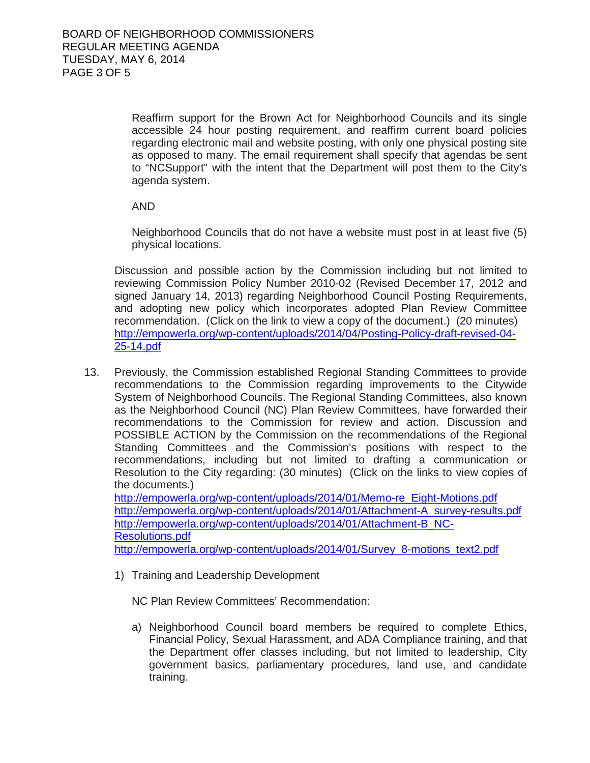Reaffirm support for the Brown Act for Neighborhood Councils and its single accessible 24 hour posting requirement, and reaffirm current board policies regarding electronic mail and website posting, with only one physical posting site as opposed to many. The email requirement shall specify that agendas be sent to "NCSupport" with the intent that the Department will post them to the City's agenda system.

AND

Neighborhood Councils that do not have a website must post in at least five (5) physical locations.

Discussion and possible action by the Commission including but not limited to reviewing Commission Policy Number 2010-02 (Revised December 17, 2012 and signed January 14, 2013) regarding Neighborhood Council Posting Requirements, and adopting new policy which incorporates adopted Plan Review Committee recommendation. (Click on the link to view a copy of the document.) (20 minutes) [http://empowerla.org/wp-content/uploads/2014/04/Posting-Policy-draft-revised-04-](http://empowerla.org/wp-content/uploads/2014/04/Posting-Policy-draft-revised-04-25-14.pdf) [25-14.pdf](http://empowerla.org/wp-content/uploads/2014/04/Posting-Policy-draft-revised-04-25-14.pdf)

13. Previously, the Commission established Regional Standing Committees to provide recommendations to the Commission regarding improvements to the Citywide System of Neighborhood Councils. The Regional Standing Committees, also known as the Neighborhood Council (NC) Plan Review Committees, have forwarded their recommendations to the Commission for review and action. Discussion and POSSIBLE ACTION by the Commission on the recommendations of the Regional Standing Committees and the Commission's positions with respect to the recommendations, including but not limited to drafting a communication or Resolution to the City regarding: (30 minutes) (Click on the links to view copies of the documents.)

[http://empowerla.org/wp-content/uploads/2014/01/Memo-re\\_Eight-Motions.pdf](http://empowerla.org/wp-content/uploads/2014/01/Memo-re_Eight-Motions.pdf) [http://empowerla.org/wp-content/uploads/2014/01/Attachment-A\\_survey-results.pdf](http://empowerla.org/wp-content/uploads/2014/01/Attachment-A_survey-results.pdf) [http://empowerla.org/wp-content/uploads/2014/01/Attachment-B\\_NC-](http://empowerla.org/wp-content/uploads/2014/01/Attachment-B_NC-Resolutions.pdf)[Resolutions.pdf](http://empowerla.org/wp-content/uploads/2014/01/Attachment-B_NC-Resolutions.pdf) [http://empowerla.org/wp-content/uploads/2014/01/Survey\\_8-motions\\_text2.pdf](http://empowerla.org/wp-content/uploads/2014/01/Survey_8-motions_text2.pdf)

1) Training and Leadership Development

NC Plan Review Committees' Recommendation:

a) Neighborhood Council board members be required to complete Ethics, Financial Policy, Sexual Harassment, and ADA Compliance training, and that the Department offer classes including, but not limited to leadership, City government basics, parliamentary procedures, land use, and candidate training.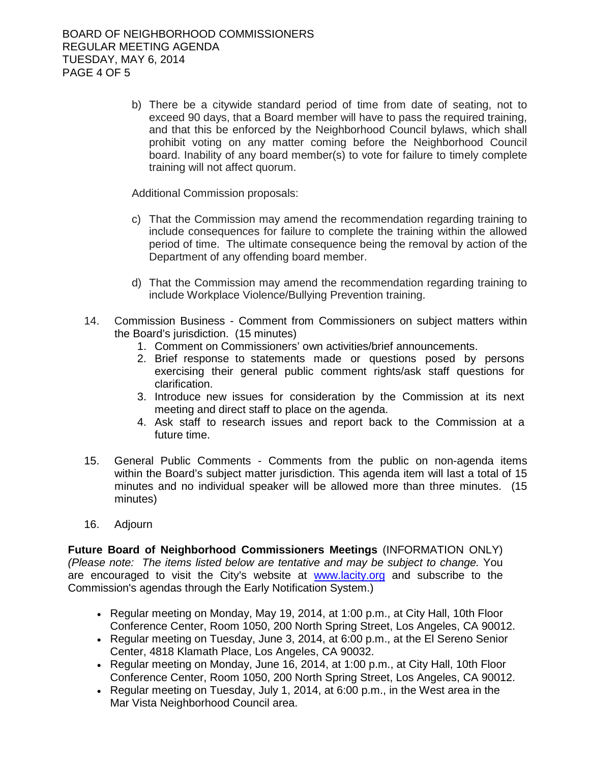b) There be a citywide standard period of time from date of seating, not to exceed 90 days, that a Board member will have to pass the required training, and that this be enforced by the Neighborhood Council bylaws, which shall prohibit voting on any matter coming before the Neighborhood Council board. Inability of any board member(s) to vote for failure to timely complete training will not affect quorum.

Additional Commission proposals:

- c) That the Commission may amend the recommendation regarding training to include consequences for failure to complete the training within the allowed period of time. The ultimate consequence being the removal by action of the Department of any offending board member.
- d) That the Commission may amend the recommendation regarding training to include Workplace Violence/Bullying Prevention training.
- 14. Commission Business Comment from Commissioners on subject matters within the Board's jurisdiction. (15 minutes)
	- 1. Comment on Commissioners' own activities/brief announcements.
	- 2. Brief response to statements made or questions posed by persons exercising their general public comment rights/ask staff questions for clarification.
	- 3. Introduce new issues for consideration by the Commission at its next meeting and direct staff to place on the agenda.
	- 4. Ask staff to research issues and report back to the Commission at a future time.
- 15. General Public Comments Comments from the public on non-agenda items within the Board's subject matter jurisdiction. This agenda item will last a total of 15 minutes and no individual speaker will be allowed more than three minutes. (15 minutes)
- 16. Adjourn

**Future Board of Neighborhood Commissioners Meetings** (INFORMATION ONLY) *(Please note: The items listed below are tentative and may be subject to change.* You are encouraged to visit the City's website at [www.lacity.org](http://www.lacity.org/) and subscribe to the Commission's agendas through the Early Notification System.)

- Regular meeting on Monday, May 19, 2014, at 1:00 p.m., at City Hall, 10th Floor Conference Center, Room 1050, 200 North Spring Street, Los Angeles, CA 90012.
- Regular meeting on Tuesday, June 3, 2014, at 6:00 p.m., at the El Sereno Senior Center, 4818 Klamath Place, Los Angeles, CA 90032.
- Regular meeting on Monday, June 16, 2014, at 1:00 p.m., at City Hall, 10th Floor Conference Center, Room 1050, 200 North Spring Street, Los Angeles, CA 90012.
- Regular meeting on Tuesday, July 1, 2014, at 6:00 p.m., in the West area in the Mar Vista Neighborhood Council area.